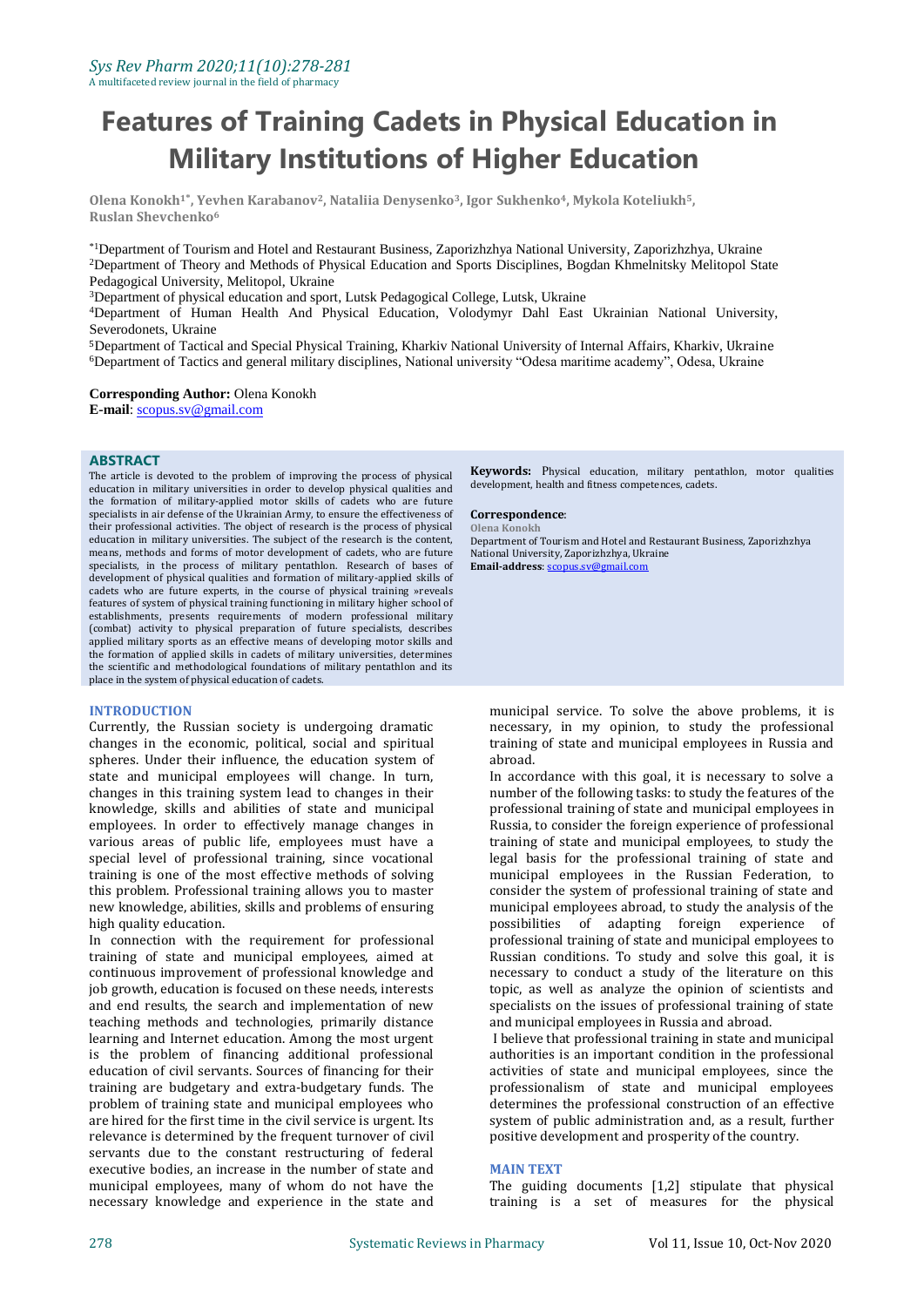# **Features of Training Cadets in Physical Education in Military Institutions of Higher Education**

**Olena Konokh1\* , Yevhen Karabanov2, Nataliia Denysenko3, Igor Sukhenko4, Mykola Koteliukh5, Ruslan Shevchenko<sup>6</sup>**

\*1Department of Tourism and Hotel and Restaurant Business, Zaporizhzhya National University, Zaporizhzhya, Ukraine <sup>2</sup>Department of Theory and Methods of Physical Education and Sports Disciplines, Bogdan Khmelnitsky Melitopol State Pedagogical University, Melitopol, Ukraine

<sup>3</sup>Department of physical education and sport, Lutsk Pedagogical College, Lutsk, Ukraine

<sup>4</sup>Department of Human Health And Physical Education, Volodymyr Dahl East Ukrainian National University, Severodonets, Ukraine

<sup>5</sup>Department of Tactical and Special Physical Training, Kharkiv National University of Internal Affairs, Kharkiv, Ukraine <sup>6</sup>Department of Tactics and general military disciplines, National university "Odesa maritime academy", Odesa, Ukraine

**Corresponding Author:** Olena Konokh **E-mail**[: scopus.sv@gmail.com](mailto:scopus.sv@gmail.com)

#### **ABSTRACT**

The article is devoted to the problem of improving the process of physical education in military universities in order to develop physical qualities and the formation of military-applied motor skills of cadets who are future specialists in air defense of the Ukrainian Army, to ensure the effectiveness of their professional activities. The object of research is the process of physical education in military universities. The subject of the research is the content, means, methods and forms of motor development of cadets, who are future specialists, in the process of military pentathlon. Research of bases of development of physical qualities and formation of military-applied skills of cadets who are future experts, in the course of physical training »reveals features of system of physical training functioning in military higher school of establishments, presents requirements of modern professional military (combat) activity to physical preparation of future specialists, describes applied military sports as an effective means of developing motor skills and the formation of applied skills in cadets of military universities, determines the scientific and methodological foundations of military pentathlon and its place in the system of physical education of cadets.

### **INTRODUCTION**

Currently, the Russian society is undergoing dramatic changes in the economic, political, social and spiritual spheres. Under their influence, the education system of state and municipal employees will change. In turn, changes in this training system lead to changes in their knowledge, skills and abilities of state and municipal employees. In order to effectively manage changes in various areas of public life, employees must have a special level of professional training, since vocational training is one of the most effective methods of solving this problem. Professional training allows you to master new knowledge, abilities, skills and problems of ensuring high quality education.

In connection with the requirement for professional training of state and municipal employees, aimed at continuous improvement of professional knowledge and job growth, education is focused on these needs, interests and end results, the search and implementation of new teaching methods and technologies, primarily distance learning and Internet education. Among the most urgent is the problem of financing additional professional education of civil servants. Sources of financing for their training are budgetary and extra-budgetary funds. The problem of training state and municipal employees who are hired for the first time in the civil service is urgent. Its relevance is determined by the frequent turnover of civil servants due to the constant restructuring of federal executive bodies, an increase in the number of state and municipal employees, many of whom do not have the necessary knowledge and experience in the state and

**Keywords:** Physical education, military pentathlon, motor qualities development, health and fitness competences, cadets.

#### **Correspondence**:

**Olena Konokh** Department of Tourism and Hotel and Restaurant Business, Zaporizhzhya National University, Zaporizhzhya, Ukraine **Email-address**[: scopus.sv@gmail.com](mailto:scopus.sv@gmail.com)

municipal service. To solve the above problems, it is necessary, in my opinion, to study the professional training of state and municipal employees in Russia and abroad.

In accordance with this goal, it is necessary to solve a number of the following tasks: to study the features of the professional training of state and municipal employees in Russia, to consider the foreign experience of professional training of state and municipal employees, to study the legal basis for the professional training of state and municipal employees in the Russian Federation, to consider the system of professional training of state and municipal employees abroad, to study the analysis of the possibilities of adapting foreign experience of professional training of state and municipal employees to Russian conditions. To study and solve this goal, it is necessary to conduct a study of the literature on this topic, as well as analyze the opinion of scientists and specialists on the issues of professional training of state and municipal employees in Russia and abroad.

I believe that professional training in state and municipal authorities is an important condition in the professional activities of state and municipal employees, since the professionalism of state and municipal employees determines the professional construction of an effective system of public administration and, as a result, further positive development and prosperity of the country.

#### **MAIN TEXT**

The guiding documents [1,2] stipulate that physical training is a set of measures for the physical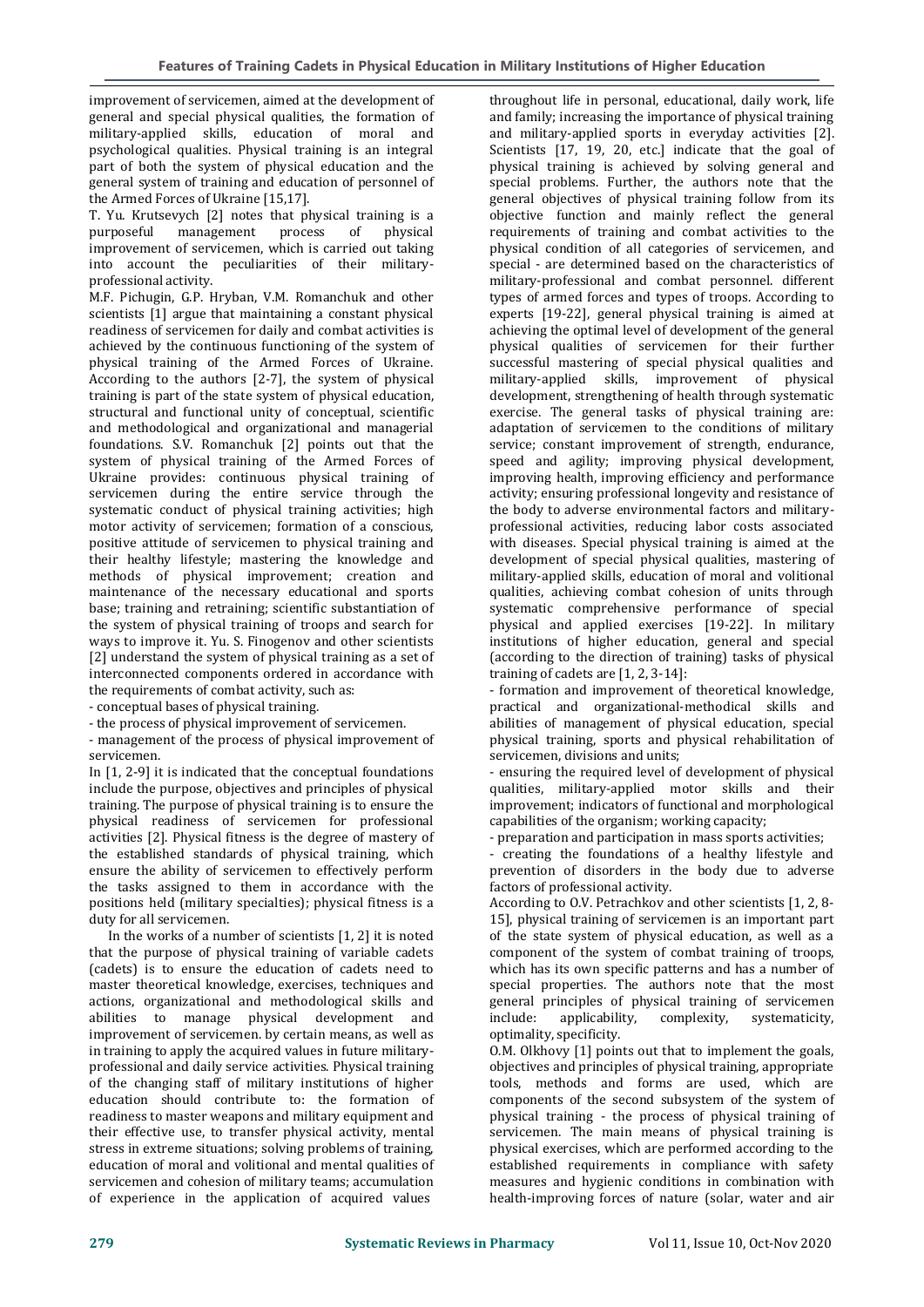improvement of servicemen, aimed at the development of general and special physical qualities, the formation of military-applied skills, education of moral and psychological qualities. Physical training is an integral part of both the system of physical education and the general system of training and education of personnel of the Armed Forces of Ukraine [15,17].

T. Yu. Krutsevych [2] notes that physical training is a purposeful management process of physical improvement of servicemen, which is carried out taking into account the peculiarities of their militaryprofessional activity.

M.F. Pichugin, G.P. Hryban, V.M. Romanchuk and other scientists [1] argue that maintaining a constant physical readiness of servicemen for daily and combat activities is achieved by the continuous functioning of the system of physical training of the Armed Forces of Ukraine. According to the authors [2-7], the system of physical training is part of the state system of physical education, structural and functional unity of conceptual, scientific and methodological and organizational and managerial foundations. S.V. Romanchuk [2] points out that the system of physical training of the Armed Forces of Ukraine provides: continuous physical training of servicemen during the entire service through the systematic conduct of physical training activities; high motor activity of servicemen; formation of a conscious, positive attitude of servicemen to physical training and their healthy lifestyle; mastering the knowledge and methods of physical improvement; creation and maintenance of the necessary educational and sports base; training and retraining; scientific substantiation of the system of physical training of troops and search for ways to improve it. Yu. S. Finogenov and other scientists [2] understand the system of physical training as a set of interconnected components ordered in accordance with the requirements of combat activity, such as:

- conceptual bases of physical training.

- the process of physical improvement of servicemen.

- management of the process of physical improvement of servicemen.

In [1, 2-9] it is indicated that the conceptual foundations include the purpose, objectives and principles of physical training. The purpose of physical training is to ensure the physical readiness of servicemen for professional activities [2]. Physical fitness is the degree of mastery of the established standards of physical training, which ensure the ability of servicemen to effectively perform the tasks assigned to them in accordance with the positions held (military specialties); physical fitness is a duty for all servicemen.

In the works of a number of scientists [1, 2] it is noted that the purpose of physical training of variable cadets (cadets) is to ensure the education of cadets need to master theoretical knowledge, exercises, techniques and actions, organizational and methodological skills and abilities to manage physical development and improvement of servicemen. by certain means, as well as in training to apply the acquired values in future militaryprofessional and daily service activities. Physical training of the changing staff of military institutions of higher education should contribute to: the formation of readiness to master weapons and military equipment and their effective use, to transfer physical activity, mental stress in extreme situations; solving problems of training, education of moral and volitional and mental qualities of servicemen and cohesion of military teams; accumulation of experience in the application of acquired values

throughout life in personal, educational, daily work, life and family; increasing the importance of physical training and military-applied sports in everyday activities [2]. Scientists [17, 19, 20, etc.] indicate that the goal of physical training is achieved by solving general and special problems. Further, the authors note that the general objectives of physical training follow from its objective function and mainly reflect the general requirements of training and combat activities to the physical condition of all categories of servicemen, and special - are determined based on the characteristics of military-professional and combat personnel. different types of armed forces and types of troops. According to experts [19-22], general physical training is aimed at achieving the optimal level of development of the general physical qualities of servicemen for their further successful mastering of special physical qualities and military-applied skills, improvement of physical development, strengthening of health through systematic exercise. The general tasks of physical training are: adaptation of servicemen to the conditions of military service; constant improvement of strength, endurance, speed and agility; improving physical development, improving health, improving efficiency and performance activity; ensuring professional longevity and resistance of the body to adverse environmental factors and militaryprofessional activities, reducing labor costs associated with diseases. Special physical training is aimed at the development of special physical qualities, mastering of military-applied skills, education of moral and volitional qualities, achieving combat cohesion of units through systematic comprehensive performance of special physical and applied exercises [19-22]. In military institutions of higher education, general and special (according to the direction of training) tasks of physical training of cadets are [1, 2, 3-14]:

- formation and improvement of theoretical knowledge, practical and organizational-methodical skills and abilities of management of physical education, special physical training, sports and physical rehabilitation of servicemen, divisions and units;

- ensuring the required level of development of physical qualities, military-applied motor skills and their improvement; indicators of functional and morphological capabilities of the organism; working capacity;

- preparation and participation in mass sports activities; - creating the foundations of a healthy lifestyle and prevention of disorders in the body due to adverse factors of professional activity.

According to O.V. Petrachkov and other scientists [1, 2, 8- 15], physical training of servicemen is an important part of the state system of physical education, as well as a component of the system of combat training of troops, which has its own specific patterns and has a number of special properties. The authors note that the most general principles of physical training of servicemen include: applicability, complexity, systematicity, optimality, specificity.

O.M. Olkhovy [1] points out that to implement the goals, objectives and principles of physical training, appropriate tools, methods and forms are used, which are components of the second subsystem of the system of physical training - the process of physical training of servicemen. The main means of physical training is physical exercises, which are performed according to the established requirements in compliance with safety measures and hygienic conditions in combination with health-improving forces of nature (solar, water and air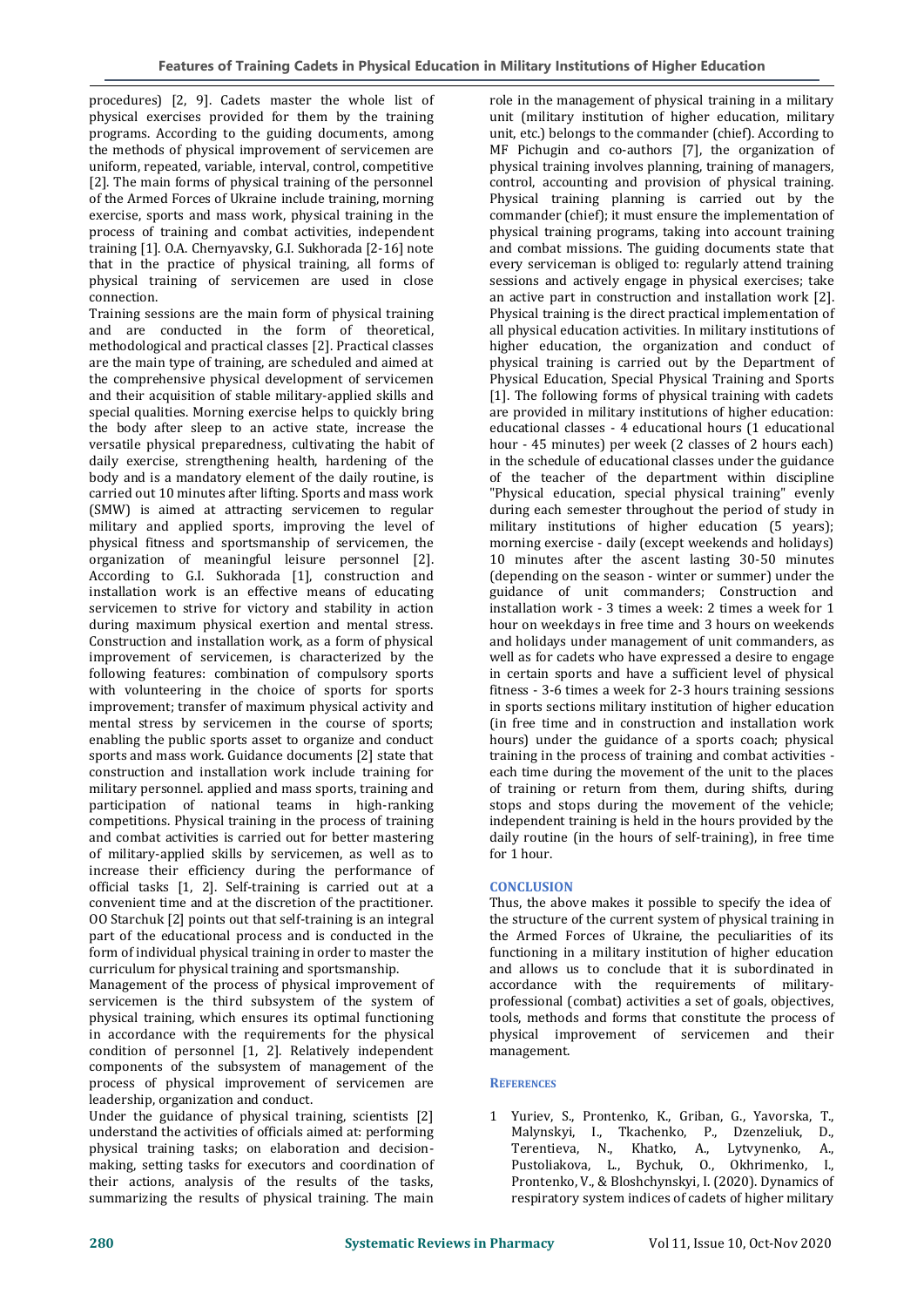procedures) [2, 9]. Cadets master the whole list of physical exercises provided for them by the training programs. According to the guiding documents, among the methods of physical improvement of servicemen are uniform, repeated, variable, interval, control, competitive [2]. The main forms of physical training of the personnel of the Armed Forces of Ukraine include training, morning exercise, sports and mass work, physical training in the process of training and combat activities, independent training [1]. O.A. Chernyavsky, G.I. Sukhorada [2-16] note that in the practice of physical training, all forms of physical training of servicemen are used in close connection.

Training sessions are the main form of physical training and are conducted in the form of theoretical, methodological and practical classes [2]. Practical classes are the main type of training, are scheduled and aimed at the comprehensive physical development of servicemen and their acquisition of stable military-applied skills and special qualities. Morning exercise helps to quickly bring the body after sleep to an active state, increase the versatile physical preparedness, cultivating the habit of daily exercise, strengthening health, hardening of the body and is a mandatory element of the daily routine, is carried out 10 minutes after lifting. Sports and mass work (SMW) is aimed at attracting servicemen to regular military and applied sports, improving the level of physical fitness and sportsmanship of servicemen, the organization of meaningful leisure personnel [2]. According to G.I. Sukhorada [1], construction and installation work is an effective means of educating servicemen to strive for victory and stability in action during maximum physical exertion and mental stress. Construction and installation work, as a form of physical improvement of servicemen, is characterized by the following features: combination of compulsory sports with volunteering in the choice of sports for sports improvement; transfer of maximum physical activity and mental stress by servicemen in the course of sports; enabling the public sports asset to organize and conduct sports and mass work. Guidance documents [2] state that construction and installation work include training for military personnel. applied and mass sports, training and participation of national teams in high-ranking competitions. Physical training in the process of training and combat activities is carried out for better mastering of military-applied skills by servicemen, as well as to increase their efficiency during the performance of official tasks [1, 2]. Self-training is carried out at a convenient time and at the discretion of the practitioner. OO Starchuk [2] points out that self-training is an integral part of the educational process and is conducted in the form of individual physical training in order to master the curriculum for physical training and sportsmanship.

Management of the process of physical improvement of servicemen is the third subsystem of the system of physical training, which ensures its optimal functioning in accordance with the requirements for the physical condition of personnel [1, 2]. Relatively independent components of the subsystem of management of the process of physical improvement of servicemen are leadership, organization and conduct.

Under the guidance of physical training, scientists [2] understand the activities of officials aimed at: performing physical training tasks; on elaboration and decisionmaking, setting tasks for executors and coordination of their actions, analysis of the results of the tasks, summarizing the results of physical training. The main role in the management of physical training in a military unit (military institution of higher education, military unit, etc.) belongs to the commander (chief). According to MF Pichugin and co-authors [7], the organization of physical training involves planning, training of managers, control, accounting and provision of physical training. Physical training planning is carried out by the commander (chief); it must ensure the implementation of physical training programs, taking into account training and combat missions. The guiding documents state that every serviceman is obliged to: regularly attend training sessions and actively engage in physical exercises; take an active part in construction and installation work [2]. Physical training is the direct practical implementation of all physical education activities. In military institutions of higher education, the organization and conduct of physical training is carried out by the Department of Physical Education, Special Physical Training and Sports [1]. The following forms of physical training with cadets are provided in military institutions of higher education: educational classes - 4 educational hours (1 educational hour - 45 minutes) per week (2 classes of 2 hours each) in the schedule of educational classes under the guidance of the teacher of the department within discipline "Physical education, special physical training" evenly during each semester throughout the period of study in military institutions of higher education (5 years); morning exercise - daily (except weekends and holidays) 10 minutes after the ascent lasting 30-50 minutes (depending on the season - winter or summer) under the guidance of unit commanders; Construction and installation work - 3 times a week: 2 times a week for 1 hour on weekdays in free time and 3 hours on weekends and holidays under management of unit commanders, as well as for cadets who have expressed a desire to engage in certain sports and have a sufficient level of physical fitness - 3-6 times a week for 2-3 hours training sessions in sports sections military institution of higher education (in free time and in construction and installation work hours) under the guidance of a sports coach; physical training in the process of training and combat activities each time during the movement of the unit to the places of training or return from them, during shifts, during stops and stops during the movement of the vehicle; independent training is held in the hours provided by the daily routine (in the hours of self-training), in free time for 1 hour.

## **CONCLUSION**

Thus, the above makes it possible to specify the idea of the structure of the current system of physical training in the Armed Forces of Ukraine, the peculiarities of its functioning in a military institution of higher education and allows us to conclude that it is subordinated in accordance with the requirements of militaryprofessional (combat) activities a set of goals, objectives, tools, methods and forms that constitute the process of physical improvement of servicemen and their management.

## **REFERENCES**

1 Yuriev, S., Prontenko, K., Griban, G., Yavorska, T., Malynskyi, I., Tkachenko, P., Dzenzeliuk, D., Terentieva, N., Khatko, A., Lytvynenko, A., Pustoliakova, L., Bychuk, O., Okhrimenko, I., Prontenko, V., & Bloshchynskyi, I. (2020). Dynamics of respiratory system indices of cadets of higher military